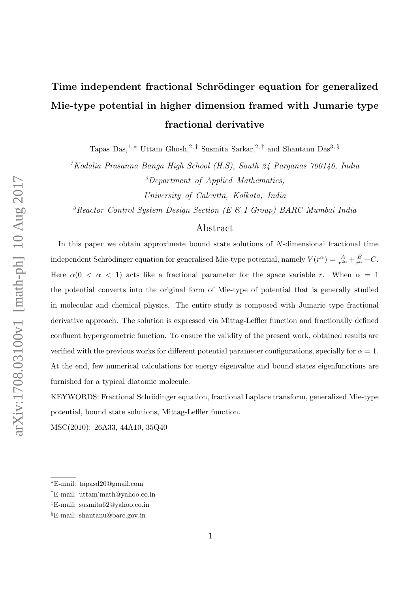# Time independent fractional Schrödinger equation for generalized Mie-type potential in higher dimension framed with Jumarie type fractional derivative

Tapas Das,<sup>1,\*</sup> Uttam Ghosh,<sup>2,†</sup> Susmita Sarkar,<sup>2,‡</sup> and Shantanu Das<sup>3,§</sup>

<sup>1</sup>Kodalia Prasanna Banga High School (H.S), South 24 Parganas 700146, India <sup>2</sup>Department of Applied Mathematics,

University of Calcutta, Kolkata, India

 $3$ Reactor Control System Design Section (E & I Group) BARC Mumbai India

# Abstract

In this paper we obtain approximate bound state solutions of  $N$ -dimensional fractional time independent Schrödinger equation for generalised Mie-type potential, namely  $V(r^{\alpha}) = \frac{A}{r^{2\alpha}} + \frac{B}{r^{\alpha}} + C$ . Here  $\alpha(0 < \alpha < 1)$  acts like a fractional parameter for the space variable r. When  $\alpha = 1$ the potential converts into the original form of Mie-type of potential that is generally studied in molecular and chemical physics. The entire study is composed with Jumarie type fractional derivative approach. The solution is expressed via Mittag-Leffler function and fractionally defined confluent hypergeometric function. To ensure the validity of the present work, obtained results are verified with the previous works for different potential parameter configurations, specially for  $\alpha = 1$ . At the end, few numerical calculations for energy eigenvalue and bound states eigenfunctions are furnished for a typical diatomic molecule.

KEYWORDS: Fractional Schrödinger equation, fractional Laplace transform, generalized Mie-type potential, bound state solutions, Mittag-Leffler function.

MSC(2010): 26A33, 44A10, 35Q40

<sup>∗</sup>E-mail: tapasd20@gmail.com

<sup>†</sup>E-mail: uttam˙math@yahoo.co.in

<sup>‡</sup>E-mail: susmita62@yahoo.co.in

<sup>§</sup>E-mail: shantanu@barc.gov.in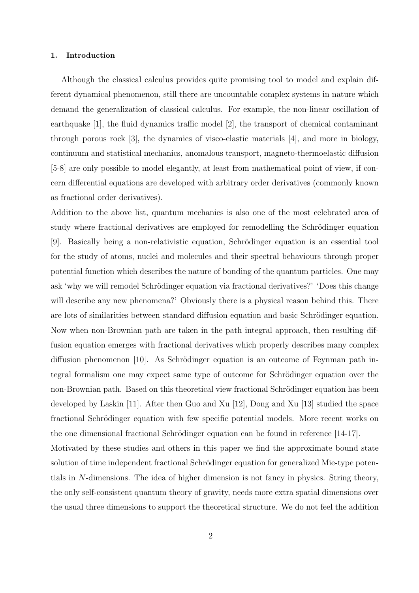## 1. Introduction

Although the classical calculus provides quite promising tool to model and explain different dynamical phenomenon, still there are uncountable complex systems in nature which demand the generalization of classical calculus. For example, the non-linear oscillation of earthquake [1], the fluid dynamics traffic model [2], the transport of chemical contaminant through porous rock [3], the dynamics of visco-elastic materials [4], and more in biology, continuum and statistical mechanics, anomalous transport, magneto-thermoelastic diffusion [5-8] are only possible to model elegantly, at least from mathematical point of view, if concern differential equations are developed with arbitrary order derivatives (commonly known as fractional order derivatives).

Addition to the above list, quantum mechanics is also one of the most celebrated area of study where fractional derivatives are employed for remodelling the Schrödinger equation [9]. Basically being a non-relativistic equation, Schrödinger equation is an essential tool for the study of atoms, nuclei and molecules and their spectral behaviours through proper potential function which describes the nature of bonding of the quantum particles. One may ask 'why we will remodel Schrödinger equation via fractional derivatives?' 'Does this change will describe any new phenomena?' Obviously there is a physical reason behind this. There are lots of similarities between standard diffusion equation and basic Schrödinger equation. Now when non-Brownian path are taken in the path integral approach, then resulting diffusion equation emerges with fractional derivatives which properly describes many complex diffusion phenomenon [10]. As Schrödinger equation is an outcome of Feynman path integral formalism one may expect same type of outcome for Schrödinger equation over the non-Brownian path. Based on this theoretical view fractional Schrödinger equation has been developed by Laskin [11]. After then Guo and Xu [12], Dong and Xu [13] studied the space fractional Schrödinger equation with few specific potential models. More recent works on the one dimensional fractional Schrödinger equation can be found in reference  $[14-17]$ . Motivated by these studies and others in this paper we find the approximate bound state

solution of time independent fractional Schrödinger equation for generalized Mie-type potentials in N-dimensions. The idea of higher dimension is not fancy in physics. String theory, the only self-consistent quantum theory of gravity, needs more extra spatial dimensions over the usual three dimensions to support the theoretical structure. We do not feel the addition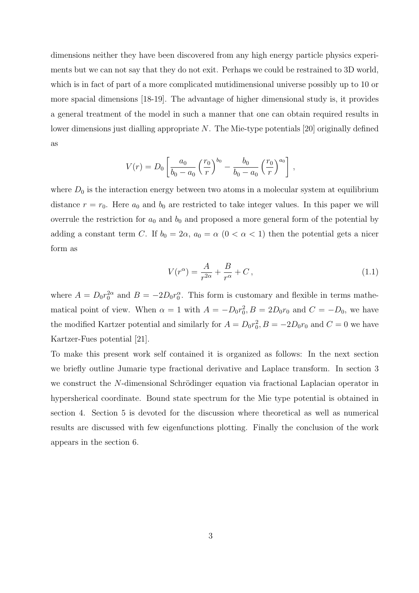dimensions neither they have been discovered from any high energy particle physics experiments but we can not say that they do not exit. Perhaps we could be restrained to 3D world, which is in fact of part of a more complicated mutidimensional universe possibly up to 10 or more spacial dimensions [18-19]. The advantage of higher dimensional study is, it provides a general treatment of the model in such a manner that one can obtain required results in lower dimensions just dialling appropriate  $N$ . The Mie-type potentials [20] originally defined as

$$
V(r) = D_0 \left[ \frac{a_0}{b_0 - a_0} \left( \frac{r_0}{r} \right)^{b_0} - \frac{b_0}{b_0 - a_0} \left( \frac{r_0}{r} \right)^{a_0} \right],
$$

where  $D_0$  is the interaction energy between two atoms in a molecular system at equilibrium distance  $r = r_0$ . Here  $a_0$  and  $b_0$  are restricted to take integer values. In this paper we will overrule the restriction for  $a_0$  and  $b_0$  and proposed a more general form of the potential by adding a constant term C. If  $b_0 = 2\alpha$ ,  $a_0 = \alpha$   $(0 < \alpha < 1)$  then the potential gets a nicer form as

$$
V(r^{\alpha}) = \frac{A}{r^{2\alpha}} + \frac{B}{r^{\alpha}} + C, \qquad (1.1)
$$

where  $A = D_0 r_0^{2\alpha}$  and  $B = -2D_0 r_0^{\alpha}$ . This form is customary and flexible in terms mathematical point of view. When  $\alpha = 1$  with  $A = -D_0 r_0^2$ ,  $B = 2D_0 r_0$  and  $C = -D_0$ , we have the modified Kartzer potential and similarly for  $A = D_0 r_0^2$ ,  $B = -2D_0 r_0$  and  $C = 0$  we have Kartzer-Fues potential [21].

To make this present work self contained it is organized as follows: In the next section we briefly outline Jumarie type fractional derivative and Laplace transform. In section 3 we construct the N-dimensional Schrödinger equation via fractional Laplacian operator in hypersherical coordinate. Bound state spectrum for the Mie type potential is obtained in section 4. Section 5 is devoted for the discussion where theoretical as well as numerical results are discussed with few eigenfunctions plotting. Finally the conclusion of the work appears in the section 6.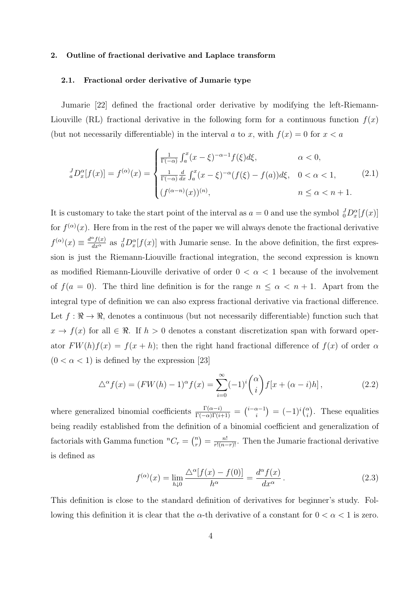#### 2. Outline of fractional derivative and Laplace transform

## 2.1. Fractional order derivative of Jumarie type

Jumarie [22] defined the fractional order derivative by modifying the left-Riemann-Liouville (RL) fractional derivative in the following form for a continuous function  $f(x)$ (but not necessarily differentiable) in the interval a to x, with  $f(x) = 0$  for  $x < a$ 

$$
{}_{a}^{J}D_{x}^{\alpha}[f(x)] = f^{(\alpha)}(x) = \begin{cases} \frac{1}{\Gamma(-\alpha)} \int_{a}^{x} (x - \xi)^{-\alpha - 1} f(\xi) d\xi, & \alpha < 0, \\ \frac{1}{\Gamma(-\alpha)} \frac{d}{dx} \int_{a}^{x} (x - \xi)^{-\alpha} (f(\xi) - f(a)) d\xi, & 0 < \alpha < 1, \\ (f^{(\alpha - n)}(x))^{(n)}, & n \le \alpha < n + 1. \end{cases}
$$
(2.1)

It is customary to take the start point of the interval as  $a = 0$  and use the symbol  $\frac{J}{0}D_x^{\alpha}[f(x)]$ for  $f^{(\alpha)}(x)$ . Here from in the rest of the paper we will always denote the fractional derivative  $f^{(\alpha)}(x) \equiv \frac{d^{\alpha} f(x)}{dx^{\alpha}}$  as  ${}_{0}^{J} D_{x}^{\alpha}[f(x)]$  with Jumarie sense. In the above definition, the first expression is just the Riemann-Liouville fractional integration, the second expression is known as modified Riemann-Liouville derivative of order  $0 < \alpha < 1$  because of the involvement of  $f(a = 0)$ . The third line definition is for the range  $n \leq \alpha < n + 1$ . Apart from the integral type of definition we can also express fractional derivative via fractional difference. Let  $f: \mathbb{R} \to \mathbb{R}$ , denotes a continuous (but not necessarily differentiable) function such that  $x \to f(x)$  for all  $\in \Re$ . If  $h > 0$  denotes a constant discretization span with forward operator  $FW(h)f(x) = f(x+h)$ ; then the right hand fractional difference of  $f(x)$  of order  $\alpha$  $(0 < \alpha < 1)$  is defined by the expression [23]

$$
\triangle^{\alpha} f(x) = (FW(h) - 1)^{\alpha} f(x) = \sum_{i=0}^{\infty} (-1)^i {\alpha \choose i} f[x + (\alpha - i)h], \qquad (2.2)
$$

where generalized binomial coefficients  $\frac{\Gamma(\alpha-i)}{\Gamma(-\alpha)\Gamma(i+1)} = {\binom{i-\alpha-1}{i}} = (-1)^i {\binom{\alpha}{i}}$  $\binom{\alpha}{i}$ . These equalities being readily established from the definition of a binomial coefficient and generalization of factorials with Gamma function  ${}^{n}C_{r} = \binom{n}{r}$  $r(n) = \frac{n!}{r!(n-r)!}$ . Then the Jumarie fractional derivative is defined as

$$
f^{(\alpha)}(x) = \lim_{h \downarrow 0} \frac{\Delta^{\alpha} [f(x) - f(0)]}{h^{\alpha}} = \frac{d^{\alpha} f(x)}{dx^{\alpha}}.
$$
 (2.3)

This definition is close to the standard definition of derivatives for beginner's study. Following this definition it is clear that the  $\alpha$ -th derivative of a constant for  $0 < \alpha < 1$  is zero.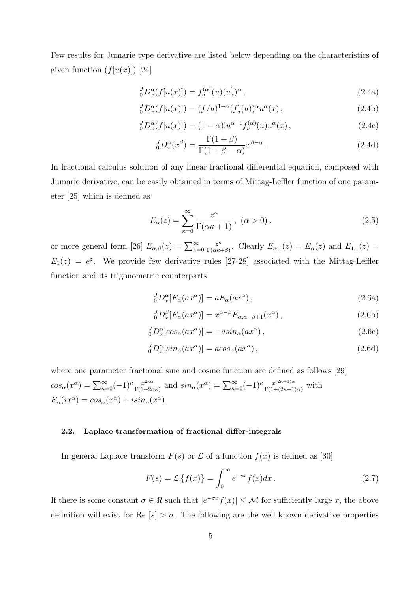Few results for Jumarie type derivative are listed below depending on the characteristics of given function  $(f[u(x)])$  [24]

$$
{}_{0}^{J}D_{x}^{\alpha}(f[u(x)]) = f_{u}^{(\alpha)}(u)(u'_{x})^{\alpha}, \qquad (2.4a)
$$

$$
{}_{0}^{J}D_{x}^{\alpha}(f[u(x)]) = (f/u)^{1-\alpha}(f'_{u}(u))^{\alpha}u^{\alpha}(x), \qquad (2.4b)
$$

$$
{}_{0}^{J}D_{x}^{\alpha}(f[u(x)]) = (1 - \alpha)!u^{\alpha - 1}f_{u}^{(\alpha)}(u)u^{\alpha}(x), \qquad (2.4c)
$$

$$
{}_{0}^{J}D_{x}^{\alpha}(x^{\beta}) = \frac{\Gamma(1+\beta)}{\Gamma(1+\beta-\alpha)}x^{\beta-\alpha}.
$$
\n(2.4d)

In fractional calculus solution of any linear fractional differential equation, composed with Jumarie derivative, can be easily obtained in terms of Mittag-Leffler function of one parameter [25] which is defined as

$$
E_{\alpha}(z) = \sum_{\kappa=0}^{\infty} \frac{z^{\kappa}}{\Gamma(\alpha \kappa + 1)}, \ (\alpha > 0). \tag{2.5}
$$

or more general form [26]  $E_{\alpha,\beta}(z) = \sum_{\kappa=0}^{\infty}$  $z^{\kappa}$  $\frac{z^{\kappa}}{\Gamma(\alpha\kappa+\beta)}$ . Clearly  $E_{\alpha,1}(z) = E_{\alpha}(z)$  and  $E_{1,1}(z) =$  $E_1(z) = e^z$ . We provide few derivative rules [27-28] associated with the Mittag-Leffler function and its trigonometric counterparts.

$$
{}_{0}^{J}D_{x}^{\alpha}[E_{\alpha}(ax^{\alpha})] = aE_{\alpha}(ax^{\alpha}), \qquad (2.6a)
$$

$$
{}_{0}^{J}D_{x}^{\beta}[E_{\alpha}(ax^{\alpha})] = x^{\alpha-\beta}E_{\alpha,\alpha-\beta+1}(x^{\alpha}), \qquad (2.6b)
$$

$$
{}_{0}^{J}D_{x}^{\alpha}[cos_{\alpha}(ax^{\alpha})] = -asin_{\alpha}(ax^{\alpha}), \qquad (2.6c)
$$

$$
{}_{0}^{J}D_{x}^{\alpha}[sin_{\alpha}(ax^{\alpha})] = a\cos_{\alpha}(ax^{\alpha}), \qquad (2.6d)
$$

where one parameter fractional sine and cosine function are defined as follows [29]  $cos_\alpha(x^\alpha) = \sum_{\kappa=0}^{\infty} (-1)^\kappa \frac{x^{2\kappa\alpha}}{\Gamma(1+2\alpha)}$  $\frac{x^{2\kappa\alpha}}{\Gamma(1+2\alpha\kappa)}$  and  $sin_\alpha(x^\alpha) = \sum_{\kappa=0}^{\infty} (-1)^\kappa \frac{x^{(2\kappa+1)\alpha}}{\Gamma(1+(2\kappa+1)\alpha)}$  with  $E_{\alpha}(ix^{\alpha}) = \cos_{\alpha}(x^{\alpha}) + i\sin_{\alpha}(x^{\alpha}).$ 

# 2.2. Laplace transformation of fractional differ-integrals

In general Laplace transform  $F(s)$  or  $\mathcal L$  of a function  $f(x)$  is defined as [30]

$$
F(s) = \mathcal{L}\left\{f(x)\right\} = \int_0^\infty e^{-sx} f(x) dx.
$$
 (2.7)

If there is some constant  $\sigma \in \mathbb{R}$  such that  $|e^{-\sigma x} f(x)| \leq M$  for sufficiently large x, the above definition will exist for Re  $[s] > \sigma$ . The following are the well known derivative properties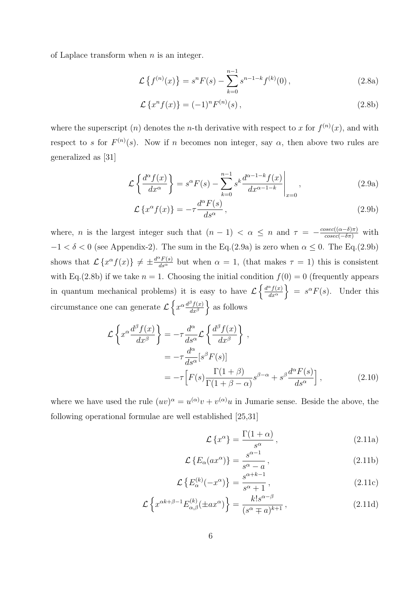of Laplace transform when  $n$  is an integer.

$$
\mathcal{L}\left\{f^{(n)}(x)\right\} = s^n F(s) - \sum_{k=0}^{n-1} s^{n-1-k} f^{(k)}(0),\tag{2.8a}
$$

$$
\mathcal{L}\left\{x^{n}f(x)\right\} = (-1)^{n}F^{(n)}(s),\qquad(2.8b)
$$

where the superscript (*n*) denotes the *n*-th derivative with respect to x for  $f^{(n)}(x)$ , and with respect to s for  $F^{(n)}(s)$ . Now if n becomes non integer, say  $\alpha$ , then above two rules are generalized as [31]

$$
\mathcal{L}\left\{\frac{d^{\alpha}f(x)}{dx^{\alpha}}\right\} = s^{\alpha}F(s) - \sum_{k=0}^{n-1} s^k \frac{d^{\alpha-1-k}f(x)}{dx^{\alpha-1-k}}\Big|_{x=0},\tag{2.9a}
$$

$$
\mathcal{L}\left\{x^{\alpha}f(x)\right\} = -\tau \frac{d^{\alpha}F(s)}{ds^{\alpha}},\qquad(2.9b)
$$

where, *n* is the largest integer such that  $(n-1) < \alpha \leq n$  and  $\tau = -\frac{cosec((\alpha-\delta)\pi)}{cosec(-\delta\pi)}$  with  $-1 < \delta < 0$  (see Appendix-2). The sum in the Eq.(2.9a) is zero when  $\alpha \leq 0$ . The Eq.(2.9b) shows that  $\mathcal{L}\left\{x^{\alpha}f(x)\right\} \neq \pm \frac{d^{\alpha}F(s)}{ds^{\alpha}}$  but when  $\alpha = 1$ , (that makes  $\tau = 1$ ) this is consistent with Eq.(2.8b) if we take  $n = 1$ . Choosing the initial condition  $f(0) = 0$  (frequently appears in quantum mechanical problems) it is easy to have  $\mathcal{L}\left\{\frac{d^{\alpha}f(x)}{dx^{\alpha}}\right\}$  $\frac{d^{a}f(x)}{dx^{a}}$  =  $s^{a}F(s)$ . Under this circumstance one can generate  $\mathcal{L}\left\{x^{\alpha} \frac{d^{\beta}f(x)}{dx^{\beta}}\right\}$  $\frac{\partial f(x)}{\partial x^{\beta}}\}$  as follows

$$
\mathcal{L}\left\{x^{\alpha}\frac{d^{\beta}f(x)}{dx^{\beta}}\right\} = -\tau \frac{d^{\alpha}}{ds^{\alpha}} \mathcal{L}\left\{\frac{d^{\beta}f(x)}{dx^{\beta}}\right\},
$$
  
\n
$$
= -\tau \frac{d^{\alpha}}{ds^{\alpha}}[s^{\beta}F(s)]
$$
  
\n
$$
= -\tau \left[F(s)\frac{\Gamma(1+\beta)}{\Gamma(1+\beta-\alpha)}s^{\beta-\alpha} + s^{\beta}\frac{d^{\alpha}F(s)}{ds^{\alpha}}\right],
$$
\n(2.10)

where we have used the rule  $(uv)^{\alpha} = u^{(\alpha)}v + v^{(\alpha)}u$  in Jumarie sense. Beside the above, the following operational formulae are well established [25,31]

$$
\mathcal{L}\left\{x^{\alpha}\right\} = \frac{\Gamma(1+\alpha)}{s^{\alpha}},\tag{2.11a}
$$

$$
\mathcal{L}\left\{E_{\alpha}(ax^{\alpha})\right\} = \frac{s^{\alpha - 1}}{s^{\alpha} - a},\tag{2.11b}
$$

$$
\mathcal{L}\left\{E_{\alpha}^{(k)}(-x^{\alpha})\right\} = \frac{s^{\alpha+k-1}}{s^{\alpha}+1},\tag{2.11c}
$$

$$
\mathcal{L}\left\{x^{\alpha k+\beta-1}E_{\alpha,\beta}^{(k)}(\pm ax^{\alpha})\right\} = \frac{k!s^{\alpha-\beta}}{(s^{\alpha}\mp a)^{k+1}},\tag{2.11d}
$$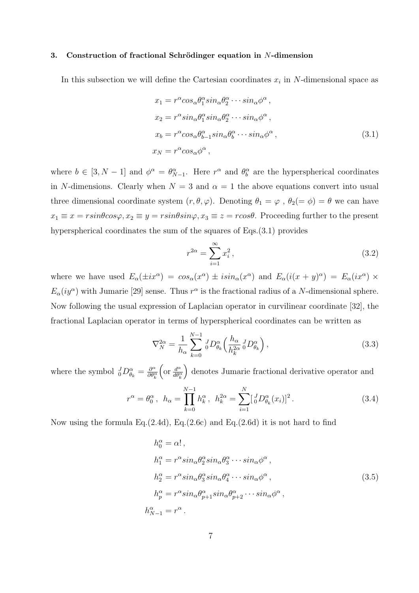## 3. Construction of fractional Schrödinger equation in  $N$ -dimension

In this subsection we will define the Cartesian coordinates  $x_i$  in N-dimensional space as

$$
x_1 = r^{\alpha} \cos_{\alpha} \theta_1^{\alpha} \sin_{\alpha} \theta_2^{\alpha} \cdots \sin_{\alpha} \phi^{\alpha} ,
$$
  
\n
$$
x_2 = r^{\alpha} \sin_{\alpha} \theta_1^{\alpha} \sin_{\alpha} \theta_2^{\alpha} \cdots \sin_{\alpha} \phi^{\alpha} ,
$$
  
\n
$$
x_b = r^{\alpha} \cos_{\alpha} \theta_{b-1}^{\alpha} \sin_{\alpha} \theta_b^{\alpha} \cdots \sin_{\alpha} \phi^{\alpha} ,
$$
  
\n
$$
x_N = r^{\alpha} \cos_{\alpha} \phi^{\alpha} ,
$$
  
\n(3.1)

where  $b \in [3, N-1]$  and  $\phi^{\alpha} = \theta_{N-1}^{\alpha}$ . Here  $r^{\alpha}$  and  $\theta_b^{\alpha}$  are the hyperspherical coordinates in N-dimensions. Clearly when  $N = 3$  and  $\alpha = 1$  the above equations convert into usual three dimensional coordinate system  $(r, \theta, \varphi)$ . Denoting  $\theta_1 = \varphi$ ,  $\theta_2 (= \phi) = \theta$  we can have  $x_1 \equiv x = r \sin\theta \cos\varphi, x_2 \equiv y = r \sin\theta \sin\varphi, x_3 \equiv z = r \cos\theta$ . Proceeding further to the present hyperspherical coordinates the sum of the squares of Eqs.(3.1) provides

$$
r^{2\alpha} = \sum_{i=1}^{\infty} x_i^2, \qquad (3.2)
$$

where we have used  $E_{\alpha}(\pm ix^{\alpha}) = \cos_{\alpha}(x^{\alpha}) \pm i\sin_{\alpha}(x^{\alpha})$  and  $E_{\alpha}(i(x+y)^{\alpha}) = E_{\alpha}(ix^{\alpha}) \times$  $E_{\alpha}(iy^{\alpha})$  with Jumarie [29] sense. Thus  $r^{\alpha}$  is the fractional radius of a N-dimensional sphere. Now following the usual expression of Laplacian operator in curvilinear coordinate [32], the fractional Laplacian operator in terms of hyperspherical coordinates can be written as

$$
\nabla_N^{2\alpha} = \frac{1}{h_{\alpha}} \sum_{k=0}^{N-1} {}_{0}^{J} D_{\theta_k}^{\alpha} \left( \frac{h_{\alpha}}{h_k^{2\alpha}} {}_{0}^{J} D_{\theta_k}^{\alpha} \right), \qquad (3.3)
$$

where the symbol  ${}_{0}^{J}D_{\theta_{k}}^{\alpha} = \frac{\partial^{\alpha}}{\partial \theta_{i}^{\alpha}}$  $\overline{\partial \theta_{k}^{\alpha}}$  $\int \text{or } \frac{d^{\alpha}}{d\theta^{\alpha}}$  $\overline{d\theta_{k}^{\alpha}}$ denotes Jumarie fractional derivative operator and

$$
r^{\alpha} = \theta_0^{\alpha}, \quad h_{\alpha} = \prod_{k=0}^{N-1} h_k^{\alpha}, \quad h_k^{2\alpha} = \sum_{i=1}^{N} [\, _0^J D_{\theta_k}^{\alpha}(x_i)]^2 \,. \tag{3.4}
$$

Now using the formula Eq.(2.4d), Eq.(2.6c) and Eq.(2.6d) it is not hard to find

$$
h_0^{\alpha} = \alpha!,
$$
  
\n
$$
h_1^{\alpha} = r^{\alpha} sin_{\alpha} \theta_2^{\alpha} sin_{\alpha} \theta_3^{\alpha} \cdots sin_{\alpha} \phi^{\alpha},
$$
  
\n
$$
h_2^{\alpha} = r^{\alpha} sin_{\alpha} \theta_3^{\alpha} sin_{\alpha} \theta_4^{\alpha} \cdots sin_{\alpha} \phi^{\alpha},
$$
  
\n
$$
h_p^{\alpha} = r^{\alpha} sin_{\alpha} \theta_{p+1}^{\alpha} sin_{\alpha} \theta_{p+2}^{\alpha} \cdots sin_{\alpha} \phi^{\alpha},
$$
  
\n
$$
h_{N-1}^{\alpha} = r^{\alpha}.
$$
  
\n(3.5)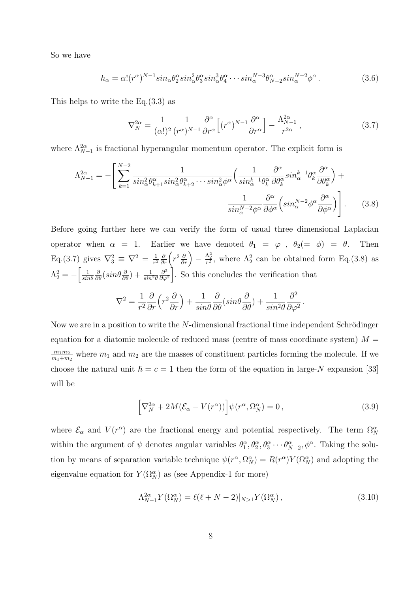So we have

$$
h_{\alpha} = \alpha! (r^{\alpha})^{N-1} \sin_{\alpha} \theta_2^{\alpha} \sin_{\alpha}^2 \theta_3^{\alpha} \sin_{\alpha}^3 \theta_4^{\alpha} \cdots \sin_{\alpha}^{N-3} \theta_{N-2}^{\alpha} \sin_{\alpha}^{N-2} \phi^{\alpha}.
$$
 (3.6)

This helps to write the Eq.(3.3) as

$$
\nabla_N^{2\alpha} = \frac{1}{(\alpha!)^2} \frac{1}{(r^{\alpha})^{N-1}} \frac{\partial^{\alpha}}{\partial r^{\alpha}} \left[ (r^{\alpha})^{N-1} \frac{\partial^{\alpha}}{\partial r^{\alpha}} \right] - \frac{\Lambda_{N-1}^{2\alpha}}{r^{2\alpha}}, \qquad (3.7)
$$

where  $\Lambda_{N-1}^{2\alpha}$  is fractional hyperangular momentum operator. The explicit form is

$$
\Lambda_{N-1}^{2\alpha} = -\left[\sum_{k=1}^{N-2} \frac{1}{\sin_{\alpha}^{2} \theta_{k+1}^{\alpha} \sin_{\alpha}^{2} \theta_{k+2}^{\alpha} \cdots \sin_{\alpha}^{2} \phi^{\alpha}} \left(\frac{1}{\sin_{\alpha}^{k-1} \theta_{k}^{\alpha}} \frac{\partial^{\alpha}}{\partial \theta_{k}^{\alpha}} \sin_{\alpha}^{k-1} \theta_{k}^{\alpha} \frac{\partial^{\alpha}}{\partial \theta_{k}^{\alpha}}\right) + \frac{1}{\sin_{\alpha}^{N-2} \phi^{\alpha}} \frac{\partial^{\alpha}}{\partial \phi^{\alpha}} \left(\sin_{\alpha}^{N-2} \phi^{\alpha} \frac{\partial^{\alpha}}{\partial \phi^{\alpha}}\right)\right].
$$
 (3.8)

Before going further here we can verify the form of usual three dimensional Laplacian operator when  $\alpha = 1$ . Earlier we have denoted  $\theta_1 = \varphi$ ,  $\theta_2 (= \phi) = \theta$ . Then Eq.(3.7) gives  $\nabla_3^2 \equiv \nabla^2 = \frac{1}{r^2}$  $\frac{1}{r^2}\frac{\partial}{\partial r}\left(r^2\frac{\partial}{\partial r}\right)$  —  $\frac{\Lambda_2^2}{r^2}$ , where  $\Lambda_2^2$  can be obtained form Eq.(3.8) as  $\Lambda_2^2 = -\left[\frac{1}{sin}\right]$  $sin\theta$  $\frac{\partial}{\partial \theta}(\sin\theta \frac{\partial}{\partial \theta}) + \frac{1}{\sin^2\theta}$  $\partial^2$  $\frac{\partial^2}{\partial \varphi^2}$ . So this concludes the verification that

$$
\nabla^2 = \frac{1}{r^2} \frac{\partial}{\partial r} \left( r^2 \frac{\partial}{\partial r} \right) + \frac{1}{\sin \theta} \frac{\partial}{\partial \theta} (\sin \theta \frac{\partial}{\partial \theta}) + \frac{1}{\sin^2 \theta} \frac{\partial^2}{\partial \varphi^2}.
$$

Now we are in a position to write the  $N$ -dimensional fractional time independent Schrödinger equation for a diatomic molecule of reduced mass (centre of mass coordinate system)  $M =$  $m_1m_2$  $\frac{m_1 m_2}{m_1 + m_2}$  where  $m_1$  and  $m_2$  are the masses of constituent particles forming the molecule. If we choose the natural unit  $\hbar = c = 1$  then the form of the equation in large-N expansion [33] will be

$$
\[ \nabla_N^{2\alpha} + 2M(\mathcal{E}_{\alpha} - V(r^{\alpha})) \] \psi(r^{\alpha}, \Omega_N^{\alpha}) = 0 \,, \tag{3.9}
$$

where  $\mathcal{E}_{\alpha}$  and  $V(r^{\alpha})$  are the fractional energy and potential respectively. The term  $\Omega_N^{\alpha}$ within the argument of  $\psi$  denotes angular variables  $\theta_1^{\alpha}, \theta_2^{\alpha}, \theta_3^{\alpha} \cdots \theta_{N-2}^{\alpha}, \phi^{\alpha}$ . Taking the solution by means of separation variable technique  $\psi(r^{\alpha}, \Omega_N^{\alpha}) = R(r^{\alpha}) Y(\Omega_N^{\alpha})$  and adopting the eigenvalue equation for  $Y(\Omega_N^{\alpha})$  as (see Appendix-1 for more)

$$
\Lambda_{N-1}^{2\alpha} Y(\Omega_N^{\alpha}) = \ell(\ell + N - 2)|_{N>1} Y(\Omega_N^{\alpha}), \qquad (3.10)
$$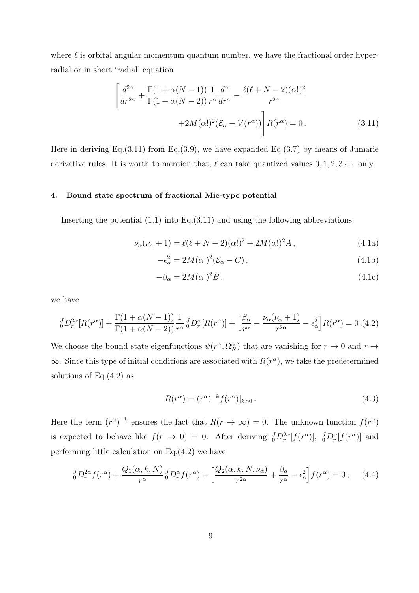where  $\ell$  is orbital angular momentum quantum number, we have the fractional order hyperradial or in short 'radial' equation

$$
\left[ \frac{d^{2\alpha}}{dr^{2\alpha}} + \frac{\Gamma(1+\alpha(N-1))}{\Gamma(1+\alpha(N-2))} \frac{1}{r^{\alpha}} \frac{d^{\alpha}}{dr^{\alpha}} - \frac{\ell(\ell+N-2)(\alpha!)^2}{r^{2\alpha}} + 2M(\alpha!)^2 (\mathcal{E}_{\alpha} - V(r^{\alpha})) \right] R(r^{\alpha}) = 0.
$$
\n(3.11)

Here in deriving Eq.(3.11) from Eq.(3.9), we have expanded Eq.(3.7) by means of Jumarie derivative rules. It is worth to mention that,  $\ell$  can take quantized values  $0, 1, 2, 3 \cdots$  only.

# 4. Bound state spectrum of fractional Mie-type potential

Inserting the potential  $(1.1)$  into Eq. $(3.11)$  and using the following abbreviations:

$$
\nu_{\alpha}(\nu_{\alpha} + 1) = \ell(\ell + N - 2)(\alpha!)^{2} + 2M(\alpha!)^{2}A, \qquad (4.1a)
$$

$$
-\epsilon_{\alpha}^{2} = 2M(\alpha!)^{2} (\mathcal{E}_{\alpha} - C), \qquad (4.1b)
$$

$$
-\beta_{\alpha} = 2M(\alpha!)^2 B\,,\tag{4.1c}
$$

we have

$$
\frac{1}{2}D_r^{\alpha}[R(r^{\alpha})] + \frac{\Gamma(1+\alpha(N-1))}{\Gamma(1+\alpha(N-2))} \frac{1}{r^{\alpha}} \frac{1}{2}D_r^{\alpha}[R(r^{\alpha})] + \left[\frac{\beta_{\alpha}}{r^{\alpha}} - \frac{\nu_{\alpha}(\nu_{\alpha}+1)}{r^{2\alpha}} - \epsilon_{\alpha}^2\right]R(r^{\alpha}) = 0.4.2
$$

We choose the bound state eigenfunctions  $\psi(r^{\alpha}, \Omega_N^{\alpha})$  that are vanishing for  $r \to 0$  and  $r \to$  $\infty$ . Since this type of initial conditions are associated with  $R(r^{\alpha})$ , we take the predetermined solutions of Eq. $(4.2)$  as

$$
R(r^{\alpha}) = (r^{\alpha})^{-k} f(r^{\alpha})|_{k>0}.
$$
\n(4.3)

Here the term  $(r^{\alpha})^{-k}$  ensures the fact that  $R(r \to \infty) = 0$ . The unknown function  $f(r^{\alpha})$ is expected to behave like  $f(r \to 0) = 0$ . After deriving  $_{0}^{J}D_{r}^{2\alpha}[f(r^{\alpha})], \, _{0}^{J}D_{r}^{\alpha}[f(r^{\alpha})]$  and performing little calculation on Eq.(4.2) we have

$$
\frac{J}{0}D_r^{2\alpha}f(r^{\alpha}) + \frac{Q_1(\alpha, k, N)}{r^{\alpha}} \frac{J}{0}D_r^{\alpha}f(r^{\alpha}) + \left[\frac{Q_2(\alpha, k, N, \nu_{\alpha})}{r^{2\alpha}} + \frac{\beta_{\alpha}}{r^{\alpha}} - \epsilon_{\alpha}^2\right]f(r^{\alpha}) = 0\,,\tag{4.4}
$$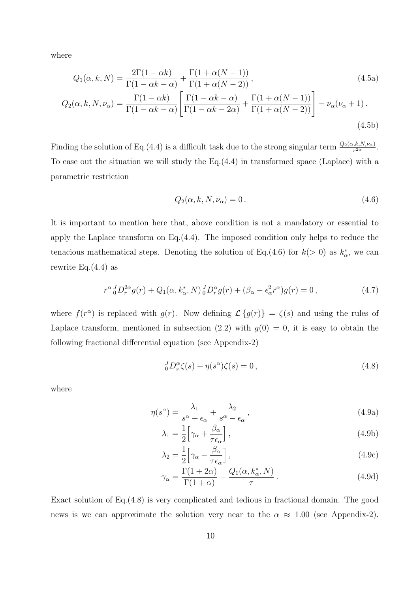where

$$
Q_1(\alpha, k, N) = \frac{2\Gamma(1 - \alpha k)}{\Gamma(1 - \alpha k - \alpha)} + \frac{\Gamma(1 + \alpha(N - 1))}{\Gamma(1 + \alpha(N - 2))},
$$
\n
$$
Q_2(\alpha, k, N, \nu_\alpha) = \frac{\Gamma(1 - \alpha k)}{\Gamma(1 - \alpha k - \alpha)} \left[ \frac{\Gamma(1 - \alpha k - \alpha)}{\Gamma(1 - \alpha k - 2\alpha)} + \frac{\Gamma(1 + \alpha(N - 1))}{\Gamma(1 + \alpha(N - 2))} \right] - \nu_\alpha(\nu_\alpha + 1).
$$
\n(4.5b)

Finding the solution of Eq.(4.4) is a difficult task due to the strong singular term  $\frac{Q_2(\alpha,k,N,\nu_\alpha)}{r^{2\alpha}}$ . To ease out the situation we will study the Eq.(4.4) in transformed space (Laplace) with a parametric restriction

$$
Q_2(\alpha, k, N, \nu_\alpha) = 0.
$$
\n
$$
(4.6)
$$

It is important to mention here that, above condition is not a mandatory or essential to apply the Laplace transform on Eq.(4.4). The imposed condition only helps to reduce the tenacious mathematical steps. Denoting the solution of Eq.(4.6) for  $k(>0)$  as  $k^*_{\alpha}$ , we can rewrite Eq. $(4.4)$  as

$$
r^{\alpha}{}_{0}^{J}D_{r}^{2\alpha}g(r) + Q_{1}(\alpha, k_{\alpha}^{*}, N){}_{0}^{J}D_{r}^{\alpha}g(r) + (\beta_{\alpha} - \epsilon_{\alpha}^{2}r^{\alpha})g(r) = 0, \qquad (4.7)
$$

where  $f(r^{\alpha})$  is replaced with  $g(r)$ . Now defining  $\mathcal{L}\lbrace g(r)\rbrace = \zeta(s)$  and using the rules of Laplace transform, mentioned in subsection  $(2.2)$  with  $g(0) = 0$ , it is easy to obtain the following fractional differential equation (see Appendix-2)

$$
{}_{0}^{J}D_{s}^{\alpha}\zeta(s) + \eta(s^{\alpha})\zeta(s) = 0, \qquad (4.8)
$$

where

$$
\eta(s^{\alpha}) = \frac{\lambda_1}{s^{\alpha} + \epsilon_{\alpha}} + \frac{\lambda_2}{s^{\alpha} - \epsilon_{\alpha}},
$$
\n(4.9a)

$$
\lambda_1 = \frac{1}{2} \Big[ \gamma_\alpha + \frac{\beta_\alpha}{\tau \epsilon_\alpha} \Big],\tag{4.9b}
$$

$$
\lambda_2 = \frac{1}{2} \Big[ \gamma_\alpha - \frac{\beta_\alpha}{\tau \epsilon_\alpha} \Big],\tag{4.9c}
$$

$$
\gamma_{\alpha} = \frac{\Gamma(1+2\alpha)}{\Gamma(1+\alpha)} - \frac{Q_1(\alpha, k_{\alpha}^*, N)}{\tau}.
$$
\n(4.9d)

Exact solution of Eq.(4.8) is very complicated and tedious in fractional domain. The good news is we can approximate the solution very near to the  $\alpha \approx 1.00$  (see Appendix-2).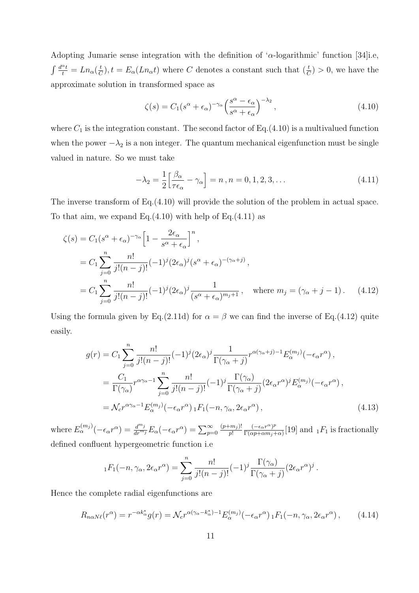Adopting Jumarie sense integration with the definition of ' $\alpha$ -logarithmic' function [34]i.e,  $\int \frac{d^{\alpha}t}{t} = Ln_{\alpha}(\frac{t}{C})$  $(\frac{t}{C}), t = E_{\alpha}(Ln_{\alpha}t)$  where C denotes a constant such that  $(\frac{t}{C}) > 0$ , we have the approximate solution in transformed space as

$$
\zeta(s) = C_1 (s^{\alpha} + \epsilon_{\alpha})^{-\gamma_{\alpha}} \left( \frac{s^{\alpha} - \epsilon_{\alpha}}{s^{\alpha} + \epsilon_{\alpha}} \right)^{-\lambda_2}, \qquad (4.10)
$$

where  $C_1$  is the integration constant. The second factor of Eq.(4.10) is a multivalued function when the power  $-\lambda_2$  is a non integer. The quantum mechanical eigenfunction must be single valued in nature. So we must take

$$
-\lambda_2 = \frac{1}{2} \left[ \frac{\beta_\alpha}{\tau \epsilon_\alpha} - \gamma_\alpha \right] = n \,, n = 0, 1, 2, 3, \dots \tag{4.11}
$$

The inverse transform of Eq.(4.10) will provide the solution of the problem in actual space. To that aim, we expand Eq. $(4.10)$  with help of Eq. $(4.11)$  as

$$
\zeta(s) = C_1 (s^{\alpha} + \epsilon_{\alpha})^{-\gamma_{\alpha}} \left[ 1 - \frac{2\epsilon_{\alpha}}{s^{\alpha} + \epsilon_{\alpha}} \right]^n,
$$
  
\n
$$
= C_1 \sum_{j=0}^n \frac{n!}{j!(n-j)!} (-1)^j (2\epsilon_{\alpha})^j (s^{\alpha} + \epsilon_{\alpha})^{-(\gamma_{\alpha}+j)},
$$
  
\n
$$
= C_1 \sum_{j=0}^n \frac{n!}{j!(n-j)!} (-1)^j (2\epsilon_{\alpha})^j \frac{1}{(s^{\alpha} + \epsilon_{\alpha})^{m_j+1}}, \text{ where } m_j = (\gamma_{\alpha} + j - 1).
$$
 (4.12)

Using the formula given by Eq.(2.11d) for  $\alpha = \beta$  we can find the inverse of Eq.(4.12) quite easily.

$$
g(r) = C_1 \sum_{j=0}^{n} \frac{n!}{j!(n-j)!} (-1)^j (2\epsilon_\alpha)^j \frac{1}{\Gamma(\gamma_\alpha + j)} r^{\alpha(\gamma_\alpha + j) - 1} E_\alpha^{(m_j)}(-\epsilon_\alpha r^\alpha) ,
$$
  

$$
= \frac{C_1}{\Gamma(\gamma_\alpha)} r^{\alpha\gamma_\alpha - 1} \sum_{j=0}^{n} \frac{n!}{j!(n-j)!} (-1)^j \frac{\Gamma(\gamma_\alpha)}{\Gamma(\gamma_\alpha + j)} (2\epsilon_\alpha r^\alpha)^j E_\alpha^{(m_j)}(-\epsilon_\alpha r^\alpha) ,
$$
  

$$
= \mathcal{N}_c r^{\alpha\gamma_\alpha - 1} E_\alpha^{(m_j)}(-\epsilon_\alpha r^\alpha) {}_1F_1(-n, \gamma_\alpha, 2\epsilon_\alpha r^\alpha) , \qquad (4.13)
$$

where  $E_{\alpha}^{(m_j)}(-\epsilon_{\alpha}r^{\alpha}) = \frac{d^{m_j}}{dr^{m_j}}E_{\alpha}(-\epsilon_{\alpha}r^{\alpha}) = \sum_{p=0}^{\infty}$  $(p+m_j)!$  $\frac{(-\epsilon_{\alpha}r^{\alpha})^p}{p!} \frac{(-\epsilon_{\alpha}r^{\alpha})^p}{\Gamma(\alpha p+\alpha m_j+\alpha)}$  $\frac{(-\epsilon_{\alpha}r^{-})^{\mu}}{\Gamma(\alpha p+\alpha m_j+\alpha)}$ [19] and  $_1F_1$  is fractionally defined confluent hypergeometric function i.e

$$
{}_1F_1(-n,\gamma_\alpha,2\epsilon_\alpha r^\alpha)=\sum_{j=0}^n\frac{n!}{j!(n-j)!}(-1)^j\frac{\Gamma(\gamma_\alpha)}{\Gamma(\gamma_\alpha+j)}(2\epsilon_\alpha r^\alpha)^j.
$$

Hence the complete radial eigenfunctions are

$$
R_{n\alpha N\ell}(r^{\alpha}) = r^{-\alpha k_{\alpha}^{*}} g(r) = \mathcal{N}_{c} r^{\alpha(\gamma_{\alpha} - k_{\alpha}^{*}) - 1} E_{\alpha}^{(m_{j})} (-\epsilon_{\alpha} r^{\alpha}) {}_{1}F_{1}(-n, \gamma_{\alpha}, 2\epsilon_{\alpha} r^{\alpha}), \qquad (4.14)
$$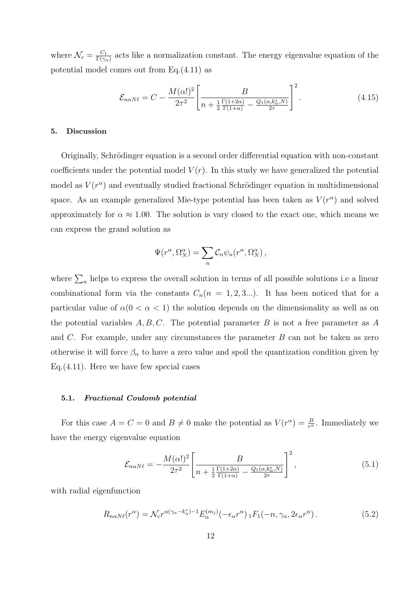where  $\mathcal{N}_c = \frac{C_1}{\Gamma(\gamma_c)}$  $\frac{C_1}{\Gamma(\gamma_\alpha)}$  acts like a normalization constant. The energy eigenvalue equation of the potential model comes out from Eq.(4.11) as

$$
\mathcal{E}_{n\alpha N\ell} = C - \frac{M(\alpha!)^2}{2\tau^2} \left[ \frac{B}{n + \frac{1}{2} \frac{\Gamma(1+2\alpha)}{\Gamma(1+\alpha)} - \frac{Q_1(\alpha,k_\alpha^*,N)}{2\tau}} \right]^2.
$$
(4.15)

# 5. Discussion

Originally, Schrödinger equation is a second order differential equation with non-constant coefficients under the potential model  $V(r)$ . In this study we have generalized the potential model as  $V(r^{\alpha})$  and eventually studied fractional Schrödinger equation in multidimensional space. As an example generalized Mie-type potential has been taken as  $V(r^{\alpha})$  and solved approximately for  $\alpha \approx 1.00$ . The solution is vary closed to the exact one, which means we can express the grand solution as

$$
\Psi(r^{\alpha}, \Omega_N^{\alpha}) = \sum_n C_n \psi_n(r^{\alpha}, \Omega_N^{\alpha}),
$$

where  $\sum_{n}$  helps to express the overall solution in terms of all possible solutions i.e a linear combinational form via the constants  $C_n(n = 1, 2, 3...)$ . It has been noticed that for a particular value of  $\alpha(0 < \alpha < 1)$  the solution depends on the dimensionality as well as on the potential variables  $A, B, C$ . The potential parameter B is not a free parameter as A and  $C$ . For example, under any circumstances the parameter  $B$  can not be taken as zero otherwise it will force  $\beta_{\alpha}$  to have a zero value and spoil the quantization condition given by Eq.(4.11). Here we have few special cases

## 5.1. Fractional Coulomb potential

For this case  $A = C = 0$  and  $B \neq 0$  make the potential as  $V(r^{\alpha}) = \frac{B}{r^{\alpha}}$ . Immediately we have the energy eigenvalue equation

$$
\mathcal{E}_{n\alpha N\ell} = -\frac{M(\alpha!)^2}{2\tau^2} \left[ \frac{B}{n + \frac{1}{2} \frac{\Gamma(1+2\alpha)}{\Gamma(1+\alpha)} - \frac{Q_1(\alpha,k^*_{\alpha},N)}{2\tau}} \right]^2, \tag{5.1}
$$

with radial eigenfunction

$$
R_{n\alpha N\ell}(r^{\alpha}) = \mathcal{N}_c r^{\alpha(\gamma_{\alpha} - k_{\alpha}^*) - 1} E_{\alpha}^{(m_j)}(-\epsilon_{\alpha} r^{\alpha}) {}_1F_1(-n, \gamma_{\alpha}, 2\epsilon_{\alpha} r^{\alpha}). \tag{5.2}
$$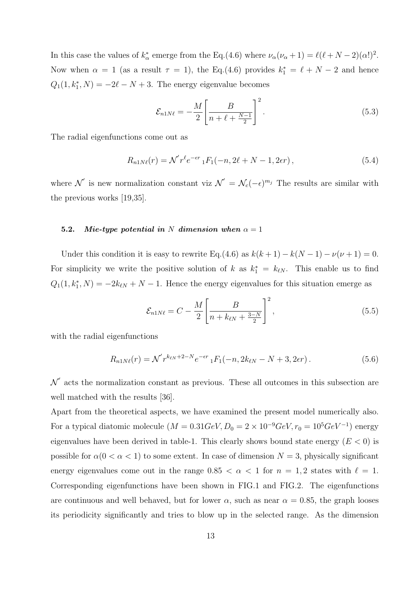In this case the values of  $k^*_{\alpha}$  emerge from the Eq.(4.6) where  $\nu_{\alpha}(\nu_{\alpha}+1) = \ell(\ell+N-2)(\alpha!)^2$ . Now when  $\alpha = 1$  (as a result  $\tau = 1$ ), the Eq.(4.6) provides  $k_1^* = \ell + N - 2$  and hence  $Q_1(1, k_1^*, N) = -2\ell - N + 3$ . The energy eigenvalue becomes

$$
\mathcal{E}_{n1N\ell} = -\frac{M}{2} \left[ \frac{B}{n+\ell+\frac{N-1}{2}} \right]^2.
$$
\n(5.3)

The radial eigenfunctions come out as

$$
R_{n1N\ell}(r) = \mathcal{N}'r^{\ell}e^{-\epsilon r} {}_{1}F_{1}(-n, 2\ell + N - 1, 2\epsilon r), \qquad (5.4)
$$

where  $\mathcal{N}'$  is new normalization constant viz  $\mathcal{N}' = \mathcal{N}_c(-\epsilon)^{m_j}$  The results are similar with the previous works [19,35].

# 5.2. Mie-type potential in N dimension when  $\alpha = 1$

Under this condition it is easy to rewrite Eq.(4.6) as  $k(k + 1) - k(N - 1) - \nu(\nu + 1) = 0$ . For simplicity we write the positive solution of k as  $k_1^* = k_{\ell N}$ . This enable us to find  $Q_1(1, k_1^*, N) = -2k_{\ell N} + N - 1$ . Hence the energy eigenvalues for this situation emerge as

$$
\mathcal{E}_{n1N\ell} = C - \frac{M}{2} \left[ \frac{B}{n + k_{\ell N} + \frac{3-N}{2}} \right]^2,
$$
\n(5.5)

with the radial eigenfunctions

$$
R_{n1N\ell}(r) = \mathcal{N}'r^{k_{\ell N} + 2 - N}e^{-\epsilon r} {}_1F_1(-n, 2k_{\ell N} - N + 3, 2\epsilon r).
$$
 (5.6)

 $\mathcal{N}'$  acts the normalization constant as previous. These all outcomes in this subsection are well matched with the results [36].

Apart from the theoretical aspects, we have examined the present model numerically also. For a typical diatomic molecule  $(M = 0.31 GeV, D_0 = 2 \times 10^{-9} GeV, r_0 = 10^5 GeV^{-1})$  energy eigenvalues have been derived in table-1. This clearly shows bound state energy  $(E < 0)$  is possible for  $\alpha(0 < \alpha < 1)$  to some extent. In case of dimension  $N = 3$ , physically significant energy eigenvalues come out in the range  $0.85 < \alpha < 1$  for  $n = 1, 2$  states with  $\ell = 1$ . Corresponding eigenfunctions have been shown in FIG.1 and FIG.2. The eigenfunctions are continuous and well behaved, but for lower  $\alpha$ , such as near  $\alpha = 0.85$ , the graph looses its periodicity significantly and tries to blow up in the selected range. As the dimension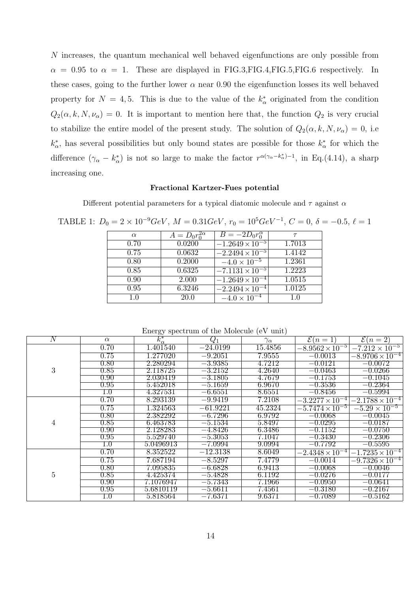N increases, the quantum mechanical well behaved eigenfunctions are only possible from  $\alpha = 0.95$  to  $\alpha = 1$ . These are displayed in FIG.3, FIG.4, FIG.5, FIG.6 respectively. In these cases, going to the further lower  $\alpha$  near 0.90 the eigenfunction losses its well behaved property for  $N = 4, 5$ . This is due to the value of the  $k^*_{\alpha}$  originated from the condition  $Q_2(\alpha, k, N, \nu_\alpha) = 0$ . It is important to mention here that, the function  $Q_2$  is very crucial to stabilize the entire model of the present study. The solution of  $Q_2(\alpha, k, N, \nu_\alpha) = 0$ , i.e.  $k^*_{\alpha}$ , has several possibilities but only bound states are possible for those  $k^*_{\alpha}$  for which the difference  $(\gamma_\alpha - k_\alpha^*)$  is not so large to make the factor  $r^{\alpha(\gamma_\alpha - k_\alpha^*)-1}$ , in Eq.(4.14), a sharp increasing one.

#### Fractional Kartzer-Fues potential

Different potential parameters for a typical diatomic molecule and  $\tau$  against  $\alpha$ 

| $A = D_0 r_0^{2\alpha}$<br>$B = -2D_0 r_0^{\alpha}$<br>$\alpha$<br>$\tau$<br>$-1.\overline{2649\times10^{-5}}$<br>0.0200<br>1.7013<br>0.70<br>0.75<br>1.4142<br>0.0632<br>$-2.2494 \times 10^{-5}$<br>1.2361<br>0.2000<br>$-4.0 \times 10^{-5}$<br>0.80<br>1.2223<br>0.85<br>0.6325<br>$-7.1131 \times 10^{-5}$<br>2.000<br>1.0515<br>0.90<br>$-1.2649 \times 10^{-4}$<br>1.0125<br>6.3246<br>0.95<br>$-2.2494 \times 10^{-4}$<br>20.0<br>$-4.0 \times 10^{-4}$<br>1.0<br>1.0 |  |  |
|-------------------------------------------------------------------------------------------------------------------------------------------------------------------------------------------------------------------------------------------------------------------------------------------------------------------------------------------------------------------------------------------------------------------------------------------------------------------------------|--|--|
|                                                                                                                                                                                                                                                                                                                                                                                                                                                                               |  |  |
|                                                                                                                                                                                                                                                                                                                                                                                                                                                                               |  |  |
|                                                                                                                                                                                                                                                                                                                                                                                                                                                                               |  |  |
|                                                                                                                                                                                                                                                                                                                                                                                                                                                                               |  |  |
|                                                                                                                                                                                                                                                                                                                                                                                                                                                                               |  |  |
|                                                                                                                                                                                                                                                                                                                                                                                                                                                                               |  |  |
|                                                                                                                                                                                                                                                                                                                                                                                                                                                                               |  |  |
|                                                                                                                                                                                                                                                                                                                                                                                                                                                                               |  |  |

TABLE 1:  $D_0 = 2 \times 10^{-9} \text{GeV}$ ,  $M = 0.31 \text{GeV}$ ,  $r_0 = 10^5 \text{GeV}^{-1}$ ,  $C = 0$ ,  $\delta = -0.5$ ,  $\ell = 1$ 

| Energy spectrum of the Molecule (eV unit) |  |  |  |
|-------------------------------------------|--|--|--|
|-------------------------------------------|--|--|--|

| $\overline{N}$ | $\alpha$          | $k^*_{\alpha}$ | $\,Q_1$              | $\gamma_{\alpha}$ | $\overline{\mathcal{E}(n=1)}$ | $\mathcal{E}(n=2)$      |
|----------------|-------------------|----------------|----------------------|-------------------|-------------------------------|-------------------------|
| 3              | 0.70              | 1.401540       | $-24.0199$           | 15.4856           | $-8.9562 \times 10^{-5}$      | $-7.212 \times 10^{-5}$ |
|                | 0.75              | 1.277020       | $-9.2051$            | 7.9555            | $-0.0013$                     | $-8.9706\times10^{-4}$  |
|                | $0.80\,$          | 2.280294       | $-3.9385$            | 4.7212            | $\!=\!0.0121$                 | $-0.0072$               |
|                | $0.85\,$          | 2.118725       | $-3.2152$            | 4.2640            | $\overline{-0.0463}$          | $\overline{-0.0266}$    |
|                | $0.90\,$          | 2.030419       | $\overline{-3.1805}$ | 4.7679            | $\overline{-0.1753}$          | $-0.1045$               |
|                | $\overline{0.95}$ | 5.452018       | $\overline{-5.1659}$ | $6.9670\,$        | $\overline{-0.3536}$          | $\overline{-0.2364}$    |
|                | $1.0\,$           | 4.327531       | $-6.6551$            | 8.6551            | $\overline{-0.8456}$          | $\overline{-0.5994}$    |
| 4              | 0.70              | 8.293139       | $-9.9419$            | 7.2108            | $-3.2277\times10^{-4}$        | $-2.1788\times10^{-4}$  |
|                | 0.75              | 1.324563       | $-61.9221$           | 45.2324           | $-5.7474 \times 10^{-5}$      | $-5.29 \times 10^{-5}$  |
|                | $0.80\,$          | 2.382292       | $-6.7296$            | 6.9792            | $-0.0068$                     | $-0.0045$               |
|                | $0.85\,$          | 6.463783       | $-5.1534$            | 5.8497            | $-0.0295$                     | $-0.0187$               |
|                | $0.90\,$          | 2.128283       | $-4.8426$            | 6.3486            | $-0.1152$                     | $-0.0750$               |
|                | $\overline{0.95}$ | 5.529740       | $-5.3053$            | 7.1047            | $-0.3430$                     | $-0.2306$               |
|                | $1.0\,$           | 5.0496913      | $-7.0994$            | 9.0994            | $\overline{-0.7792}$          | $-0.5595$               |
| $\overline{5}$ | 0.70              | 8.352522       | $-12.3138$           | 8.6049            | $-2.4348\times10^{-4}$        | $-1.7235\times10^{-4}$  |
|                | 0.75              | 7.687194       | $-8.5297$            | 7.4779            | $-0.0014$                     | $-9.7326\times10^{-4}$  |
|                | $0.80\,$          | 7.095835       | $\overline{-6.6828}$ | 6.9413            | $-0.0068$                     | $\equiv$ $0.0046$       |
|                | $0.85\,$          | 4.425374       | $-5.4828$            | 6.1192            | $-0.0276$                     | $\overline{-0.0177}$    |
|                | $0.90\,$          | 7.1076947      | $-5.7343$            | 7.1966            | $\overline{-0.0950}$          | $-0.0641$               |
|                | $\rm 0.95$        | 5.6810119      | $-5.6611$            | 7.4561            | $-0.3180$                     | $-0.2167$               |
|                | 1.0               | 5.818564       | $-7.6371$            | 9.6371            | $-0.7089$                     | $-0.5162$               |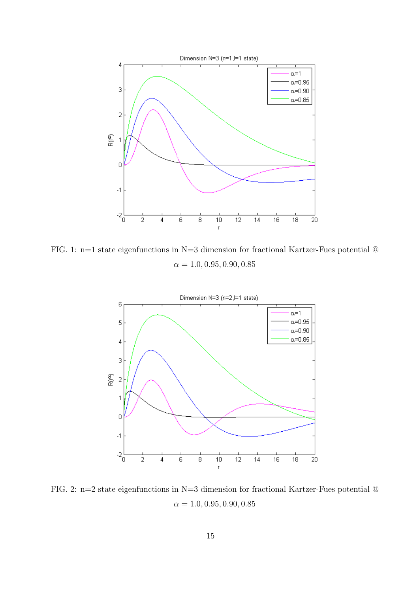

FIG. 1: n=1 state eigenfunctions in N=3 dimension for fractional Kartzer-Fues potential @  $\alpha = 1.0, 0.95, 0.90, 0.85$ 



FIG. 2: n=2 state eigenfunctions in N=3 dimension for fractional Kartzer-Fues potential @  $\alpha = 1.0, 0.95, 0.90, 0.85$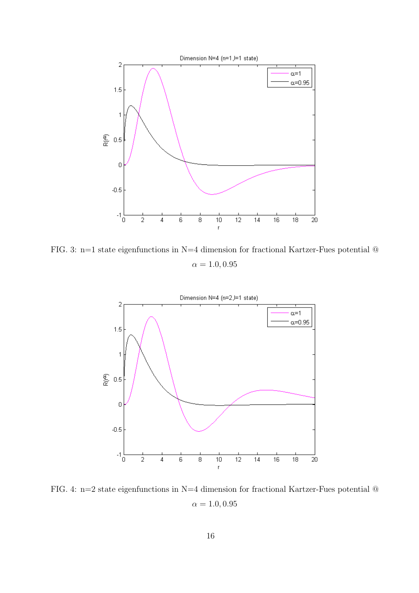

FIG. 3: n=1 state eigenfunctions in N=4 dimension for fractional Kartzer-Fues potential  $\textcircled{a}$  $\alpha = 1.0, 0.95$ 



FIG. 4: n=2 state eigenfunctions in N=4 dimension for fractional Kartzer-Fues potential @  $\alpha = 1.0, 0.95$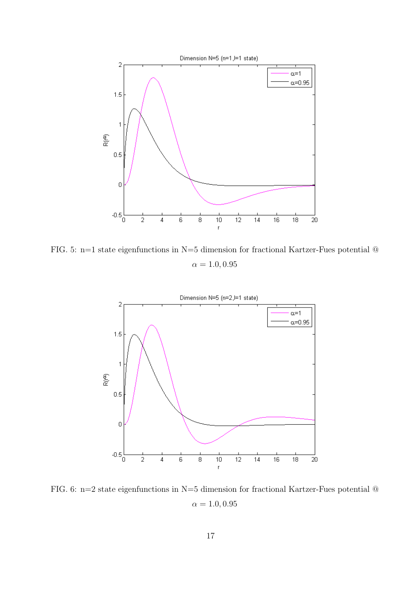

FIG. 5: n=1 state eigenfunctions in N=5 dimension for fractional Kartzer-Fues potential @  $\alpha = 1.0, 0.95$ 



FIG. 6: n=2 state eigenfunctions in N=5 dimension for fractional Kartzer-Fues potential @  $\alpha = 1.0, 0.95$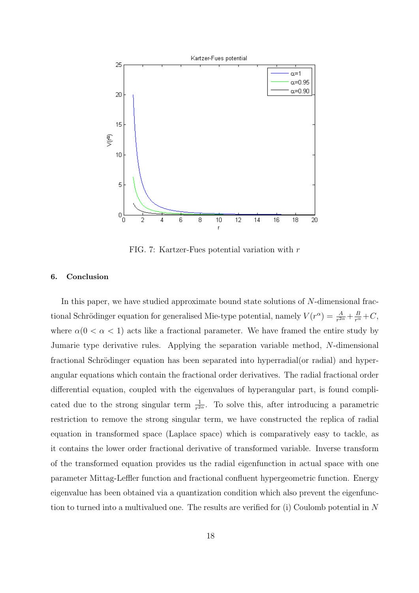

FIG. 7: Kartzer-Fues potential variation with r

# 6. Conclusion

In this paper, we have studied approximate bound state solutions of N-dimensional fractional Schrödinger equation for generalised Mie-type potential, namely  $V(r^{\alpha}) = \frac{A}{r^{2\alpha}} + \frac{B}{r^{\alpha}} + C$ , where  $\alpha(0 < \alpha < 1)$  acts like a fractional parameter. We have framed the entire study by Jumarie type derivative rules. Applying the separation variable method, N-dimensional fractional Schrödinger equation has been separated into hyperradial(or radial) and hyperangular equations which contain the fractional order derivatives. The radial fractional order differential equation, coupled with the eigenvalues of hyperangular part, is found complicated due to the strong singular term  $\frac{1}{r^{2\alpha}}$ . To solve this, after introducing a parametric restriction to remove the strong singular term, we have constructed the replica of radial equation in transformed space (Laplace space) which is comparatively easy to tackle, as it contains the lower order fractional derivative of transformed variable. Inverse transform of the transformed equation provides us the radial eigenfunction in actual space with one parameter Mittag-Leffler function and fractional confluent hypergeometric function. Energy eigenvalue has been obtained via a quantization condition which also prevent the eigenfunction to turned into a multivalued one. The results are verified for (i) Coulomb potential in N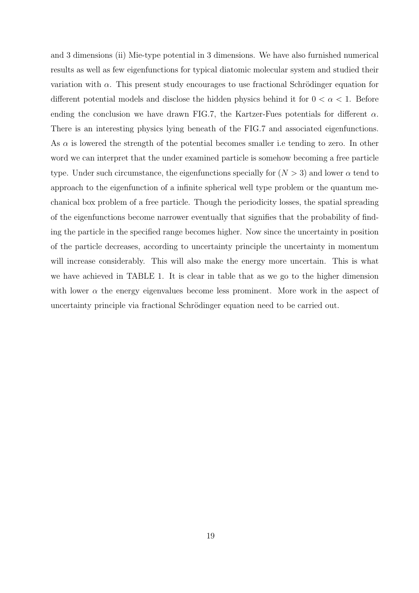and 3 dimensions (ii) Mie-type potential in 3 dimensions. We have also furnished numerical results as well as few eigenfunctions for typical diatomic molecular system and studied their variation with  $\alpha$ . This present study encourages to use fractional Schrödinger equation for different potential models and disclose the hidden physics behind it for  $0 < \alpha < 1$ . Before ending the conclusion we have drawn FIG.7, the Kartzer-Fues potentials for different  $\alpha$ . There is an interesting physics lying beneath of the FIG.7 and associated eigenfunctions. As  $\alpha$  is lowered the strength of the potential becomes smaller i.e tending to zero. In other word we can interpret that the under examined particle is somehow becoming a free particle type. Under such circumstance, the eigenfunctions specially for  $(N > 3)$  and lower  $\alpha$  tend to approach to the eigenfunction of a infinite spherical well type problem or the quantum mechanical box problem of a free particle. Though the periodicity losses, the spatial spreading of the eigenfunctions become narrower eventually that signifies that the probability of finding the particle in the specified range becomes higher. Now since the uncertainty in position of the particle decreases, according to uncertainty principle the uncertainty in momentum will increase considerably. This will also make the energy more uncertain. This is what we have achieved in TABLE 1. It is clear in table that as we go to the higher dimension with lower  $\alpha$  the energy eigenvalues become less prominent. More work in the aspect of uncertainty principle via fractional Schrödinger equation need to be carried out.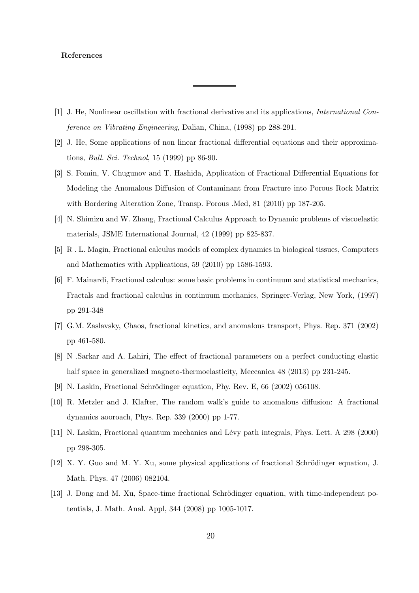# References

- [1] J. He, Nonlinear oscillation with fractional derivative and its applications, International Conference on Vibrating Engineering, Dalian, China, (1998) pp 288-291.
- [2] J. He, Some applications of non linear fractional differential equations and their approximations, Bull. Sci. Technol, 15 (1999) pp 86-90.
- [3] S. Fomin, V. Chugunov and T. Hashida, Application of Fractional Differential Equations for Modeling the Anomalous Diffusion of Contaminant from Fracture into Porous Rock Matrix with Bordering Alteration Zone, Transp. Porous .Med, 81 (2010) pp 187-205.
- [4] N. Shimizu and W. Zhang, Fractional Calculus Approach to Dynamic problems of viscoelastic materials, JSME International Journal, 42 (1999) pp 825-837.
- [5] R . L. Magin, Fractional calculus models of complex dynamics in biological tissues, Computers and Mathematics with Applications, 59 (2010) pp 1586-1593.
- [6] F. Mainardi, Fractional calculus: some basic problems in continuum and statistical mechanics, Fractals and fractional calculus in continuum mechanics, Springer-Verlag, New York, (1997) pp 291-348
- [7] G.M. Zaslavsky, Chaos, fractional kinetics, and anomalous transport, Phys. Rep. 371 (2002) pp 461-580.
- [8] N .Sarkar and A. Lahiri, The effect of fractional parameters on a perfect conducting elastic half space in generalized magneto-thermoelasticity, Meccanica 48 (2013) pp 231-245.
- [9] N. Laskin, Fractional Schrödinger equation, Phy. Rev. E,  $66$  (2002) 056108.
- [10] R. Metzler and J. Klafter, The random walk's guide to anomalous diffusion: A fractional dynamics aooroach, Phys. Rep. 339 (2000) pp 1-77.
- [11] N. Laskin, Fractional quantum mechanics and L´evy path integrals, Phys. Lett. A 298 (2000) pp 298-305.
- [12] X. Y. Guo and M. Y. Xu, some physical applications of fractional Schrödinger equation, J. Math. Phys. 47 (2006) 082104.
- [13] J. Dong and M. Xu, Space-time fractional Schrödinger equation, with time-independent potentials, J. Math. Anal. Appl, 344 (2008) pp 1005-1017.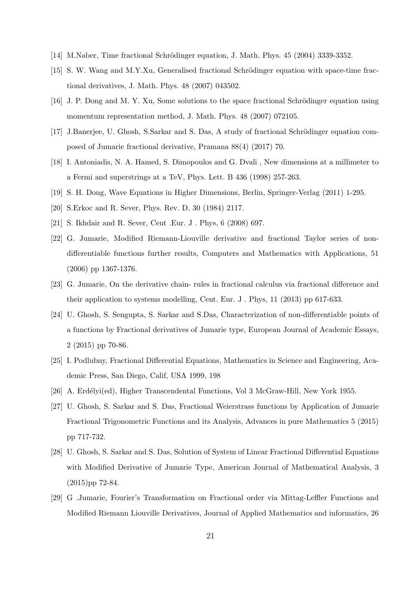- [14] M.Naber, Time fractional Schrödinger equation, J. Math. Phys. 45 (2004) 3339-3352.
- [15] S. W. Wang and M.Y.Xu, Generalised fractional Schrödinger equation with space-time fractional derivatives, J. Math. Phys. 48 (2007) 043502.
- [16] J. P. Dong and M. Y. Xu, Some solutions to the space fractional Schrödinger equation using momentum representation method, J. Math. Phys. 48 (2007) 072105.
- [17] J.Banerjee, U. Ghosh, S.Sarkar and S. Das, A study of fractional Schrödinger equation composed of Jumarie fractional derivative, Pramana 88(4) (2017) 70.
- [18] I. Antoniadis, N. A. Hamed, S. Dimopoulos and G. Dvali , New dimensions at a millimeter to a Fermi and superstrings at a TeV, Phys. Lett. B 436 (1998) 257-263.
- [19] S. H. Dong, Wave Equations in Higher Dimensions, Berlin, Springer-Verlag (2011) 1-295.
- [20] S.Erkoc and R. Sever, Phys. Rev. D, 30 (1984) 2117.
- [21] S. Ikhdair and R. Sever, Cent .Eur. J . Phys, 6 (2008) 697.
- [22] G. Jumarie, Modified Riemann-Liouville derivative and fractional Taylor series of nondifferentiable functions further results, Computers and Mathematics with Applications, 51 (2006) pp 1367-1376.
- [23] G. Jumarie, On the derivative chain- rules in fractional calculus via fractional difference and their application to systems modelling, Cent. Eur. J . Phys, 11 (2013) pp 617-633.
- [24] U. Ghosh, S. Sengupta, S. Sarkar and S.Das, Characterization of non-differentiable points of a functions by Fractional derivatives of Jumarie type, European Journal of Academic Essays, 2 (2015) pp 70-86.
- [25] I. Podlubny, Fractional Differential Equations, Mathematics in Science and Engineering, Academic Press, San Diego, Calif, USA 1999, 198
- [26] A. Erdélyi(ed), Higher Transcendental Functions, Vol 3 McGraw-Hill, New York 1955.
- [27] U. Ghosh, S. Sarkar and S. Das, Fractional Weierstrass functions by Application of Jumarie Fractional Trigonometric Functions and its Analysis, Advances in pure Mathematics 5 (2015) pp 717-732.
- [28] U. Ghosh, S. Sarkar and S. Das, Solution of System of Linear Fractional Differential Equations with Modified Derivative of Jumarie Type, American Journal of Mathematical Analysis, 3 (2015)pp 72-84.
- [29] G .Jumarie, Fourier's Transformation on Fractional order via Mittag-Leffler Functions and Modified Riemann Liouville Derivatives, Journal of Applied Mathematics and informatics, 26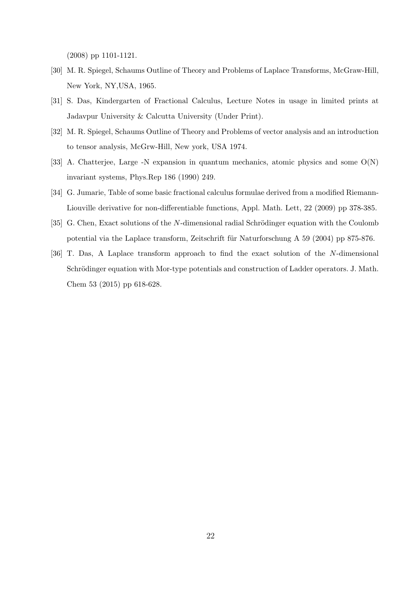(2008) pp 1101-1121.

- [30] M. R. Spiegel, Schaums Outline of Theory and Problems of Laplace Transforms, McGraw-Hill, New York, NY,USA, 1965.
- [31] S. Das, Kindergarten of Fractional Calculus, Lecture Notes in usage in limited prints at Jadavpur University & Calcutta University (Under Print).
- [32] M. R. Spiegel, Schaums Outline of Theory and Problems of vector analysis and an introduction to tensor analysis, McGrw-Hill, New york, USA 1974.
- [33] A. Chatterjee, Large -N expansion in quantum mechanics, atomic physics and some O(N) invariant systems, Phys.Rep 186 (1990) 249.
- [34] G. Jumarie, Table of some basic fractional calculus formulae derived from a modified Riemann-Liouville derivative for non-differentiable functions, Appl. Math. Lett, 22 (2009) pp 378-385.
- [35] G. Chen, Exact solutions of the N-dimensional radial Schrödinger equation with the Coulomb potential via the Laplace transform, Zeitschrift für Naturforschung A 59 (2004) pp 875-876.
- [36] T. Das, A Laplace transform approach to find the exact solution of the N-dimensional Schrödinger equation with Mor-type potentials and construction of Ladder operators. J. Math. Chem 53 (2015) pp 618-628.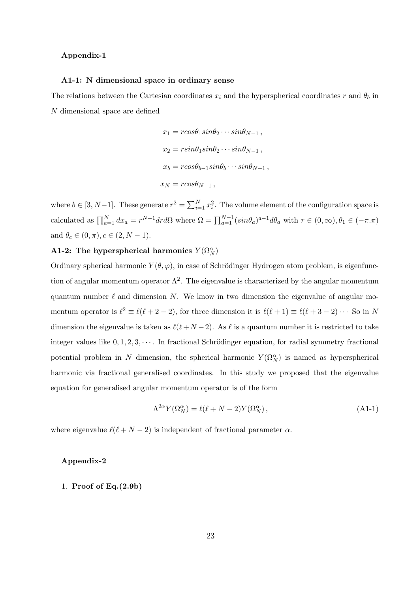#### Appendix-1

#### A1-1: N dimensional space in ordinary sense

The relations between the Cartesian coordinates  $x_i$  and the hyperspherical coordinates r and  $\theta_b$  in N dimensional space are defined

$$
x_1 = r\cos\theta_1 \sin\theta_2 \cdots \sin\theta_{N-1},
$$
  
\n
$$
x_2 = r\sin\theta_1 \sin\theta_2 \cdots \sin\theta_{N-1},
$$
  
\n
$$
x_b = r\cos\theta_{b-1} \sin\theta_b \cdots \sin\theta_{N-1},
$$
  
\n
$$
x_N = r\cos\theta_{N-1},
$$

where  $b \in [3, N-1]$ . These generate  $r^2 = \sum_{i=1}^{N} x_i^2$ . The volume element of the configuration space is calculated as  $\prod_{a=1}^{N} dx_a = r^{N-1} dr d\Omega$  where  $\Omega = \prod_{a=1}^{N-1} (sin\theta_a)^{a-1} d\theta_a$  with  $r \in (0, \infty), \theta_1 \in (-\pi, \pi)$ and  $\theta_c \in (0, \pi), c \in (2, N - 1)$ .

# A1-2: The hyperspherical harmonics  $Y(\Omega_N^{\alpha})$

Ordinary spherical harmonic  $Y(\theta, \varphi)$ , in case of Schrödinger Hydrogen atom problem, is eigenfunction of angular momentum operator  $\Lambda^2$ . The eigenvalue is characterized by the angular momentum quantum number  $\ell$  and dimension N. We know in two dimension the eigenvalue of angular momentum operator is  $\ell^2 \equiv \ell(\ell+2-2)$ , for three dimension it is  $\ell(\ell+1) \equiv \ell(\ell+3-2) \cdots$  So in N dimension the eigenvalue is taken as  $\ell(\ell+N-2)$ . As  $\ell$  is a quantum number it is restricted to take integer values like  $0, 1, 2, 3, \cdots$ . In fractional Schrödinger equation, for radial symmetry fractional potential problem in N dimension, the spherical harmonic  $Y(\Omega_N^{\alpha})$  is named as hyperspherical harmonic via fractional generalised coordinates. In this study we proposed that the eigenvalue equation for generalised angular momentum operator is of the form

$$
\Lambda^{2\alpha} Y(\Omega_N^{\alpha}) = \ell(\ell + N - 2) Y(\Omega_N^{\alpha}), \qquad (A1-1)
$$

where eigenvalue  $\ell(\ell+N-2)$  is independent of fractional parameter  $\alpha$ .

# Appendix-2

# 1. Proof of Eq.(2.9b)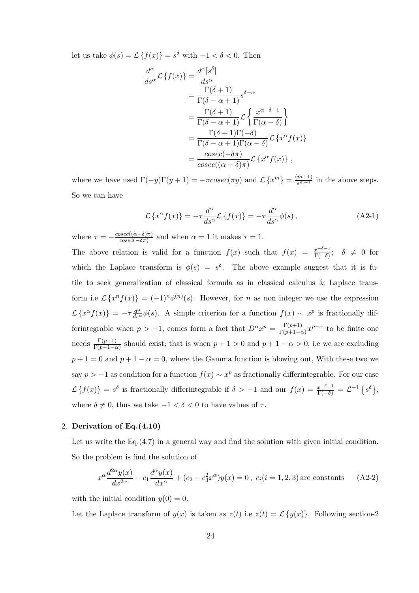let us take  $\phi(s) = \mathcal{L}\left\{f(x)\right\} = s^{\delta}$  with  $-1 < \delta < 0$ . Then

$$
\frac{d^{\alpha}}{ds^{\alpha}} \mathcal{L} \left\{ f(x) \right\} = \frac{d^{\alpha} [s^{\delta}]}{ds^{\alpha}} \n= \frac{\Gamma(\delta + 1)}{\Gamma(\delta - \alpha + 1)} s^{\delta - \alpha} \n= \frac{\Gamma(\delta + 1)}{\Gamma(\delta - \alpha + 1)} \mathcal{L} \left\{ \frac{x^{\alpha - \delta - 1}}{\Gamma(\alpha - \delta)} \right\} \n= \frac{\Gamma(\delta + 1)\Gamma(-\delta)}{\Gamma(\delta - \alpha + 1)\Gamma(\alpha - \delta)} \mathcal{L} \left\{ x^{\alpha} f(x) \right\} \n= \frac{cosec(-\delta \pi)}{cosec((\alpha - \delta)\pi)} \mathcal{L} \left\{ x^{\alpha} f(x) \right\} ,
$$

where we have used  $\Gamma(-y)\Gamma(y+1) = -\pi cosec(\pi y)$  and  $\mathcal{L}\left\{x^m\right\} = \frac{(m+1)}{s^{m+1}}$  in the above steps. So we can have

$$
\mathcal{L}\left\{x^{\alpha}f(x)\right\} = -\tau \frac{d^{\alpha}}{ds^{\alpha}} \mathcal{L}\left\{f(x)\right\} = -\tau \frac{d^{\alpha}}{ds^{\alpha}} \phi(s) ,
$$
 (A2-1)

where  $\tau = -\frac{cosec((\alpha-\delta)\pi)}{cosec(-\delta\pi)}$  $\frac{csc((\alpha - \sigma)\pi)}{cosec(-\delta\pi)}$  and when  $\alpha = 1$  it makes  $\tau = 1$ . The above relation is valid for a function  $f(x)$  such that  $f(x) = \frac{x^{-\delta-1}}{\Gamma(-\delta)}$ ;  $\delta \neq 0$  for which the Laplace transform is  $\phi(s) = s^{\delta}$ . The above example suggest that it is futile to seek generalization of classical formula as in classical calculus & Laplace transform i.e  $\mathcal{L}\left\{x^n f(x)\right\} = (-1)^n \phi^{(n)}(s)$ . However, for *n* as non integer we use the expression  $\mathcal{L}\left\{x^{\alpha}f(x)\right\} = -\tau \frac{d^{\alpha}}{ds^{\alpha}}\phi(s)$ . A simple criterion for a function  $f(x) \sim x^{p}$  is fractionally differintegrable when  $p > -1$ , comes form a fact that  $D^{\alpha} x^{p} = \frac{\Gamma(p+1)}{\Gamma(p+1)-\alpha}$  $\frac{\Gamma(p+1)}{\Gamma(p+1-\alpha)} x^{p-\alpha}$  to be finite one needs  $\frac{\Gamma(p+1)}{\Gamma(p+1-\alpha)}$  should exist; that is when  $p+1>0$  and  $p+1-\alpha>0$ , i.e we are excluding  $p+1=0$  and  $p+1-\alpha=0$ , where the Gamma function is blowing out, With these two we say  $p > -1$  as condition for a function  $f(x) \sim x^p$  as fractionally differintegrable. For our case  $\mathcal{L}\left\{f(x)\right\} = s^{\delta}$  is fractionally differintegrable if  $\delta > -1$  and our  $f(x) = \frac{x^{-\delta - 1}}{\Gamma(-\delta)} = \mathcal{L}^{-1}\left\{s^{\delta}\right\}$ , where  $\delta \neq 0$ , thus we take  $-1 < \delta < 0$  to have values of  $\tau$ .

#### 2. Derivation of Eq.(4.10)

Let us write the Eq.(4.7) in a general way and find the solution with given initial condition. So the problem is find the solution of

$$
x^{\alpha} \frac{d^{2\alpha} y(x)}{dx^{2\alpha}} + c_1 \frac{d^{\alpha} y(x)}{dx^{\alpha}} + (c_2 - c_3^2 x^{\alpha}) y(x) = 0, \ c_i(i = 1, 2, 3) \text{ are constants} \tag{A2-2}
$$

with the initial condition  $y(0) = 0$ .

Let the Laplace transform of  $y(x)$  is taken as  $z(t)$  i.e  $z(t) = \mathcal{L}{y(x)}$ . Following section-2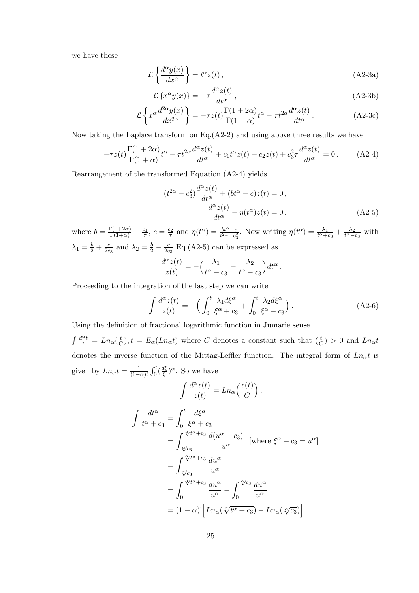we have these

$$
\mathcal{L}\left\{\frac{d^{\alpha}y(x)}{dx^{\alpha}}\right\} = t^{\alpha}z(t),\qquad (A2-3a)
$$

$$
\mathcal{L}\left\{x^{\alpha}y(x)\right\} = -\tau \frac{d^{\alpha}z(t)}{dt^{\alpha}},\tag{A2-3b}
$$

$$
\mathcal{L}\left\{x^{\alpha}\frac{d^{2\alpha}y(x)}{dx^{2\alpha}}\right\} = -\tau z(t)\frac{\Gamma(1+2\alpha)}{\Gamma(1+\alpha)}t^{\alpha} - \tau t^{2\alpha}\frac{d^{\alpha}z(t)}{dt^{\alpha}}.
$$
 (A2-3c)

Now taking the Laplace transform on  $Eq.(A2-2)$  and using above three results we have

$$
-\tau z(t)\frac{\Gamma(1+2\alpha)}{\Gamma(1+\alpha)}t^{\alpha} - \tau t^{2\alpha}\frac{d^{\alpha}z(t)}{dt^{\alpha}} + c_1t^{\alpha}z(t) + c_2z(t) + c_3^2\tau\frac{d^{\alpha}z(t)}{dt^{\alpha}} = 0.
$$
 (A2-4)

Rearrangement of the transformed Equation (A2-4) yields

$$
(t^{2\alpha} - c_3^2) \frac{d^{\alpha} z(t)}{dt^{\alpha}} + (bt^{\alpha} - c)z(t) = 0,
$$
  

$$
\frac{d^{\alpha} z(t)}{dt^{\alpha}} + \eta(t^{\alpha})z(t) = 0.
$$
 (A2-5)

where  $b = \frac{\Gamma(1+2\alpha)}{\Gamma(1+\alpha)} - \frac{c_1}{\tau}$ ,  $c = \frac{c_2}{\tau}$  and  $\eta(t^{\alpha}) = \frac{bt^{\alpha}-c}{t^{2\alpha}-c_3^2}$ . Now writing  $\eta(t^{\alpha}) = \frac{\lambda_1}{t^{\alpha}+c_3} + \frac{\lambda_2}{t^{\alpha}-c_3}$  with  $\lambda_1 = \frac{b}{2} + \frac{c}{2c}$  $\frac{c}{2c_3}$  and  $\lambda_2 = \frac{b}{2} - \frac{c}{2c}$  $\frac{c}{2c_3}$  Eq.(A2-5) can be expressed as

$$
\frac{d^{\alpha}z(t)}{z(t)} = -\left(\frac{\lambda_1}{t^{\alpha} + c_3} + \frac{\lambda_2}{t^{\alpha} - c_3}\right)dt^{\alpha}.
$$

Proceeding to the integration of the last step we can write

$$
\int \frac{d^{\alpha}z(t)}{z(t)} = -\left(\int_0^t \frac{\lambda_1 d\xi^{\alpha}}{\xi^{\alpha} + c_3} + \int_0^t \frac{\lambda_2 d\xi^{\alpha}}{\xi^{\alpha} - c_3}\right). \tag{A2-6}
$$

Using the definition of fractional logarithmic function in Jumarie sense

 $\int \frac{d^{\alpha}t}{t} = Ln_{\alpha}(\frac{t}{C})$  $(\frac{t}{C})$ ,  $t = E_{\alpha}(Ln_{\alpha}t)$  where C denotes a constant such that  $(\frac{t}{C}) > 0$  and  $Ln_{\alpha}t$ denotes the inverse function of the Mittag-Leffler function. The integral form of  $Ln_{\alpha}t$  is given by  $Ln_{\alpha}t = \frac{1}{(1 - \frac{1}{\alpha})}$  $\frac{1}{(1-\alpha)!} \int_0^t \left(\frac{d\xi}{\xi}\right)$  $(\frac{d\xi}{\xi})^{\alpha}$ . So we have

$$
\int \frac{d^{\alpha}z(t)}{z(t)} = Ln_{\alpha}\left(\frac{z(t)}{C}\right).
$$

$$
\int \frac{dt^{\alpha}}{t^{\alpha} + c_3} = \int_0^t \frac{d\xi^{\alpha}}{\xi^{\alpha} + c_3}
$$

$$
= \int_{\sqrt[\alpha]{c_3}}^{\sqrt[\alpha]{t^{\alpha} + c_3}} \frac{d(u^{\alpha} - c_3)}{u^{\alpha}} \quad [\text{where } \xi^{\alpha} + c_3 = u^{\alpha}]
$$

$$
= \int_{\sqrt[\alpha]{c_3}}^{\sqrt[\alpha]{t^{\alpha} + c_3}} \frac{du^{\alpha}}{u^{\alpha}}
$$

$$
= \int_0^{\sqrt[\alpha]{t^{\alpha} + c_3}} \frac{du^{\alpha}}{u^{\alpha}} - \int_0^{\sqrt[\alpha]{c_3}} \frac{du^{\alpha}}{u^{\alpha}}
$$

$$
= (1 - \alpha)! \Big[ Ln_{\alpha}\left(\sqrt[\alpha]{t^{\alpha} + c_3}\right) - Ln_{\alpha}\left(\sqrt[\alpha]{c_3}\right) \Big]
$$